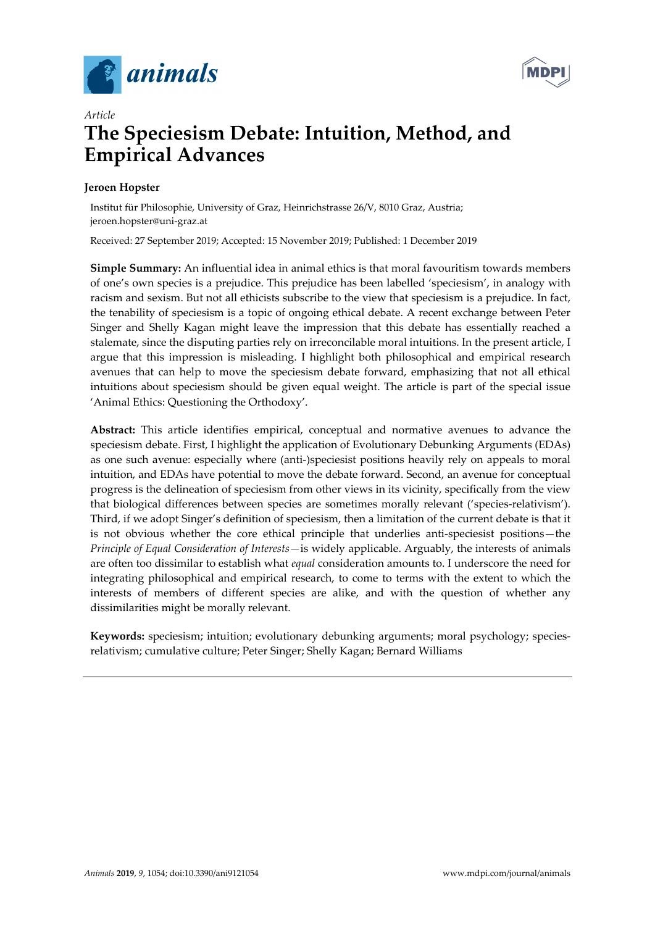



# *Article*  **The Speciesism Debate: Intuition, Method, and Empirical Advances**

# **Jeroen Hopster**

Institut für Philosophie, University of Graz, Heinrichstrasse 26/V, 8010 Graz, Austria; jeroen.hopster@uni-graz.at

Received: 27 September 2019; Accepted: 15 November 2019; Published: 1 December 2019

**Simple Summary:** An influential idea in animal ethics is that moral favouritism towards members of one's own species is a prejudice. This prejudice has been labelled 'speciesism', in analogy with racism and sexism. But not all ethicists subscribe to the view that speciesism is a prejudice. In fact, the tenability of speciesism is a topic of ongoing ethical debate. A recent exchange between Peter Singer and Shelly Kagan might leave the impression that this debate has essentially reached a stalemate, since the disputing parties rely on irreconcilable moral intuitions. In the present article, I argue that this impression is misleading. I highlight both philosophical and empirical research avenues that can help to move the speciesism debate forward, emphasizing that not all ethical intuitions about speciesism should be given equal weight. The article is part of the special issue 'Animal Ethics: Questioning the Orthodoxy'.

**Abstract:** This article identifies empirical, conceptual and normative avenues to advance the speciesism debate. First, I highlight the application of Evolutionary Debunking Arguments (EDAs) as one such avenue: especially where (anti-)speciesist positions heavily rely on appeals to moral intuition, and EDAs have potential to move the debate forward. Second, an avenue for conceptual progress is the delineation of speciesism from other views in its vicinity, specifically from the view that biological differences between species are sometimes morally relevant ('species-relativism'). Third, if we adopt Singer's definition of speciesism, then a limitation of the current debate is that it is not obvious whether the core ethical principle that underlies anti-speciesist positions—the *Principle of Equal Consideration of Interests—*is widely applicable. Arguably, the interests of animals are often too dissimilar to establish what *equal* consideration amounts to. I underscore the need for integrating philosophical and empirical research, to come to terms with the extent to which the interests of members of different species are alike, and with the question of whether any dissimilarities might be morally relevant.

**Keywords:** speciesism; intuition; evolutionary debunking arguments; moral psychology; speciesrelativism; cumulative culture; Peter Singer; Shelly Kagan; Bernard Williams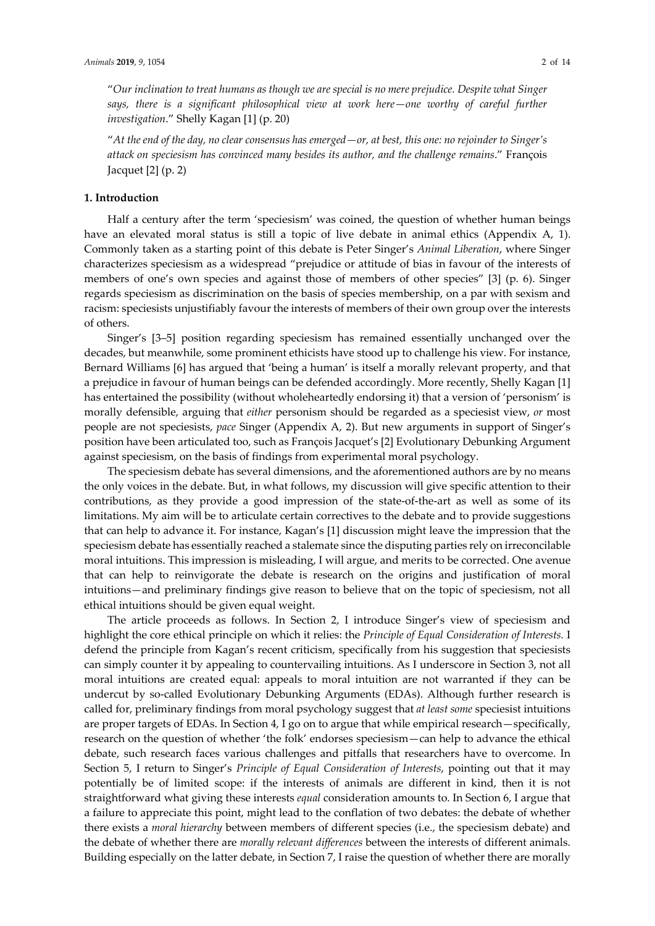"*Our inclination to treat humans as though we are special is no mere prejudice. Despite what Singer*  says, there is a significant philosophical view at work here—one worthy of careful further *investigation*." Shelly Kagan [1] (p. 20)

"*At the end of the day, no clear consensus has emerged—or, at best, this one: no rejoinder to Singer's attack on speciesism has convinced many besides its author, and the challenge remains*." François Jacquet [2] (p. 2)

# **1. Introduction**

Half a century after the term 'speciesism' was coined, the question of whether human beings have an elevated moral status is still a topic of live debate in animal ethics (Appendix A, 1). Commonly taken as a starting point of this debate is Peter Singer's *Animal Liberation*, where Singer characterizes speciesism as a widespread "prejudice or attitude of bias in favour of the interests of members of one's own species and against those of members of other species" [3] (p. 6). Singer regards speciesism as discrimination on the basis of species membership, on a par with sexism and racism: speciesists unjustifiably favour the interests of members of their own group over the interests of others.

Singer's [3–5] position regarding speciesism has remained essentially unchanged over the decades, but meanwhile, some prominent ethicists have stood up to challenge his view. For instance, Bernard Williams [6] has argued that 'being a human' is itself a morally relevant property, and that a prejudice in favour of human beings can be defended accordingly. More recently, Shelly Kagan [1] has entertained the possibility (without wholeheartedly endorsing it) that a version of 'personism' is morally defensible, arguing that *either* personism should be regarded as a speciesist view, *or* most people are not speciesists, *pace* Singer (Appendix A, 2). But new arguments in support of Singer's position have been articulated too, such as François Jacquet's [2] Evolutionary Debunking Argument against speciesism, on the basis of findings from experimental moral psychology.

The speciesism debate has several dimensions, and the aforementioned authors are by no means the only voices in the debate. But, in what follows, my discussion will give specific attention to their contributions, as they provide a good impression of the state-of-the-art as well as some of its limitations. My aim will be to articulate certain correctives to the debate and to provide suggestions that can help to advance it. For instance, Kagan's [1] discussion might leave the impression that the speciesism debate has essentially reached a stalemate since the disputing parties rely on irreconcilable moral intuitions. This impression is misleading, I will argue, and merits to be corrected. One avenue that can help to reinvigorate the debate is research on the origins and justification of moral intuitions—and preliminary findings give reason to believe that on the topic of speciesism, not all ethical intuitions should be given equal weight.

The article proceeds as follows. In Section 2, I introduce Singer's view of speciesism and highlight the core ethical principle on which it relies: the *Principle of Equal Consideration of Interests.* I defend the principle from Kagan's recent criticism, specifically from his suggestion that speciesists can simply counter it by appealing to countervailing intuitions. As I underscore in Section 3, not all moral intuitions are created equal: appeals to moral intuition are not warranted if they can be undercut by so-called Evolutionary Debunking Arguments (EDAs). Although further research is called for, preliminary findings from moral psychology suggest that *at least some* speciesist intuitions are proper targets of EDAs. In Section 4, I go on to argue that while empirical research—specifically, research on the question of whether 'the folk' endorses speciesism—can help to advance the ethical debate, such research faces various challenges and pitfalls that researchers have to overcome. In Section 5, I return to Singer's *Principle of Equal Consideration of Interests*, pointing out that it may potentially be of limited scope: if the interests of animals are different in kind, then it is not straightforward what giving these interests *equal* consideration amounts to. In Section 6, I argue that a failure to appreciate this point, might lead to the conflation of two debates: the debate of whether there exists a *moral hierarchy* between members of different species (i.e., the speciesism debate) and the debate of whether there are *morally relevant differences* between the interests of different animals. Building especially on the latter debate, in Section 7, I raise the question of whether there are morally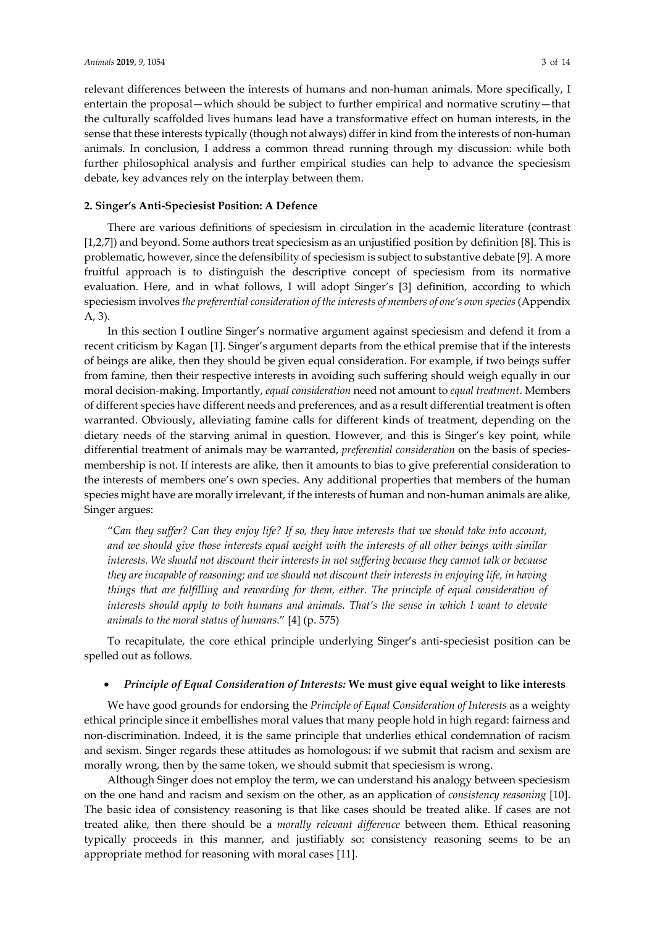relevant differences between the interests of humans and non-human animals. More specifically, I entertain the proposal—which should be subject to further empirical and normative scrutiny—that the culturally scaffolded lives humans lead have a transformative effect on human interests, in the sense that these interests typically (though not always) differ in kind from the interests of non-human animals. In conclusion, I address a common thread running through my discussion: while both further philosophical analysis and further empirical studies can help to advance the speciesism debate, key advances rely on the interplay between them.

## **2. Singer's Anti-Speciesist Position: A Defence**

There are various definitions of speciesism in circulation in the academic literature (contrast [1,2,7]) and beyond. Some authors treat speciesism as an unjustified position by definition [8]. This is problematic, however, since the defensibility of speciesism is subject to substantive debate [9]. A more fruitful approach is to distinguish the descriptive concept of speciesism from its normative evaluation. Here, and in what follows, I will adopt Singer's [3] definition, according to which speciesism involves *the preferential consideration of the interests of members of one's own species* (Appendix A, 3).

In this section I outline Singer's normative argument against speciesism and defend it from a recent criticism by Kagan [1]. Singer's argument departs from the ethical premise that if the interests of beings are alike, then they should be given equal consideration. For example, if two beings suffer from famine, then their respective interests in avoiding such suffering should weigh equally in our moral decision-making. Importantly, *equal consideration* need not amount to *equal treatment*. Members of different species have different needs and preferences, and as a result differential treatment is often warranted. Obviously, alleviating famine calls for different kinds of treatment, depending on the dietary needs of the starving animal in question. However, and this is Singer's key point, while differential treatment of animals may be warranted, *preferential consideration* on the basis of speciesmembership is not. If interests are alike, then it amounts to bias to give preferential consideration to the interests of members one's own species. Any additional properties that members of the human species might have are morally irrelevant, if the interests of human and non-human animals are alike, Singer argues:

"*Can they suffer? Can they enjoy life? If so, they have interests that we should take into account, and we should give those interests equal weight with the interests of all other beings with similar interests. We should not discount their interests in not suffering because they cannot talk or because they are incapable of reasoning; and we should not discount their interests in enjoying life, in having things that are fulfilling and rewarding for them, either. The principle of equal consideration of interests should apply to both humans and animals. That's the sense in which I want to elevate animals to the moral status of humans*." [4] (p. 575)

To recapitulate, the core ethical principle underlying Singer's anti-speciesist position can be spelled out as follows.

#### • *Principle of Equal Consideration of Interests:* **We must give equal weight to like interests**

We have good grounds for endorsing the *Principle of Equal Consideration of Interests* as a weighty ethical principle since it embellishes moral values that many people hold in high regard: fairness and non-discrimination. Indeed, it is the same principle that underlies ethical condemnation of racism and sexism. Singer regards these attitudes as homologous: if we submit that racism and sexism are morally wrong, then by the same token, we should submit that speciesism is wrong.

Although Singer does not employ the term, we can understand his analogy between speciesism on the one hand and racism and sexism on the other, as an application of *consistency reasoning* [10]. The basic idea of consistency reasoning is that like cases should be treated alike. If cases are not treated alike, then there should be a *morally relevant difference* between them. Ethical reasoning typically proceeds in this manner, and justifiably so: consistency reasoning seems to be an appropriate method for reasoning with moral cases [11].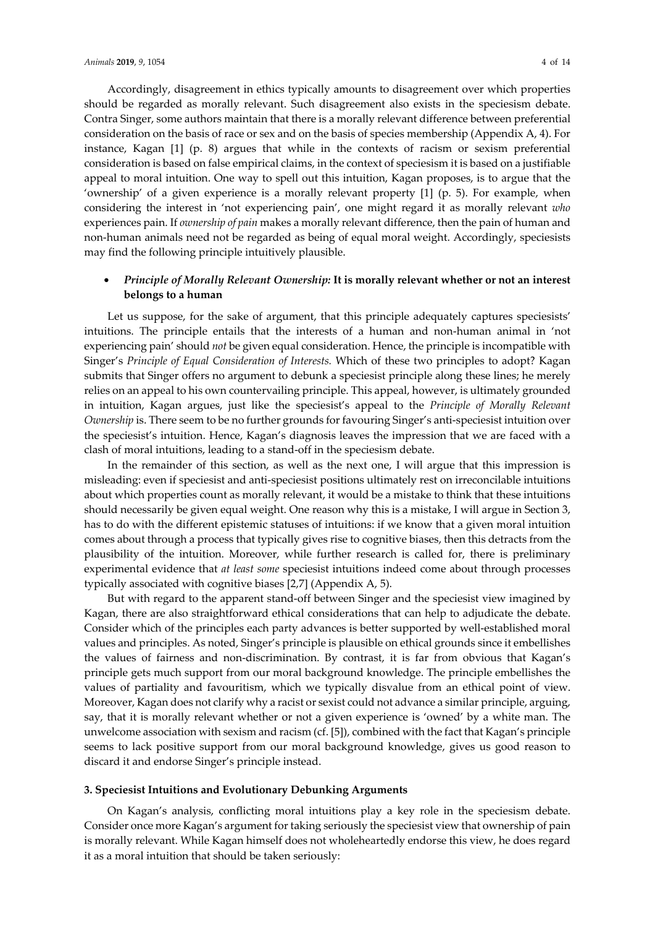Accordingly, disagreement in ethics typically amounts to disagreement over which properties should be regarded as morally relevant. Such disagreement also exists in the speciesism debate. Contra Singer, some authors maintain that there is a morally relevant difference between preferential consideration on the basis of race or sex and on the basis of species membership (Appendix A, 4). For instance, Kagan [1] (p. 8) argues that while in the contexts of racism or sexism preferential consideration is based on false empirical claims, in the context of speciesism it is based on a justifiable appeal to moral intuition. One way to spell out this intuition, Kagan proposes, is to argue that the 'ownership' of a given experience is a morally relevant property [1] (p. 5). For example, when considering the interest in 'not experiencing pain', one might regard it as morally relevant *who*  experiences pain. If *ownership of pain* makes a morally relevant difference, then the pain of human and non-human animals need not be regarded as being of equal moral weight. Accordingly, speciesists may find the following principle intuitively plausible.

# • *Principle of Morally Relevant Ownership:* **It is morally relevant whether or not an interest belongs to a human**

Let us suppose, for the sake of argument, that this principle adequately captures speciesists' intuitions. The principle entails that the interests of a human and non-human animal in 'not experiencing pain' should *not* be given equal consideration. Hence, the principle is incompatible with Singer's *Principle of Equal Consideration of Interests.* Which of these two principles to adopt? Kagan submits that Singer offers no argument to debunk a speciesist principle along these lines; he merely relies on an appeal to his own countervailing principle. This appeal, however, is ultimately grounded in intuition, Kagan argues, just like the speciesist's appeal to the *Principle of Morally Relevant Ownership* is. There seem to be no further grounds for favouring Singer's anti-speciesist intuition over the speciesist's intuition. Hence, Kagan's diagnosis leaves the impression that we are faced with a clash of moral intuitions, leading to a stand-off in the speciesism debate.

In the remainder of this section, as well as the next one, I will argue that this impression is misleading: even if speciesist and anti-speciesist positions ultimately rest on irreconcilable intuitions about which properties count as morally relevant, it would be a mistake to think that these intuitions should necessarily be given equal weight. One reason why this is a mistake, I will argue in Section 3, has to do with the different epistemic statuses of intuitions: if we know that a given moral intuition comes about through a process that typically gives rise to cognitive biases, then this detracts from the plausibility of the intuition. Moreover, while further research is called for, there is preliminary experimental evidence that *at least some* speciesist intuitions indeed come about through processes typically associated with cognitive biases [2,7] (Appendix A, 5).

But with regard to the apparent stand-off between Singer and the speciesist view imagined by Kagan, there are also straightforward ethical considerations that can help to adjudicate the debate. Consider which of the principles each party advances is better supported by well-established moral values and principles. As noted, Singer's principle is plausible on ethical grounds since it embellishes the values of fairness and non-discrimination. By contrast, it is far from obvious that Kagan's principle gets much support from our moral background knowledge. The principle embellishes the values of partiality and favouritism, which we typically disvalue from an ethical point of view. Moreover, Kagan does not clarify why a racist or sexist could not advance a similar principle, arguing, say, that it is morally relevant whether or not a given experience is 'owned' by a white man. The unwelcome association with sexism and racism (cf. [5]), combined with the fact that Kagan's principle seems to lack positive support from our moral background knowledge, gives us good reason to discard it and endorse Singer's principle instead.

#### **3. Speciesist Intuitions and Evolutionary Debunking Arguments**

On Kagan's analysis, conflicting moral intuitions play a key role in the speciesism debate. Consider once more Kagan's argument for taking seriously the speciesist view that ownership of pain is morally relevant. While Kagan himself does not wholeheartedly endorse this view, he does regard it as a moral intuition that should be taken seriously: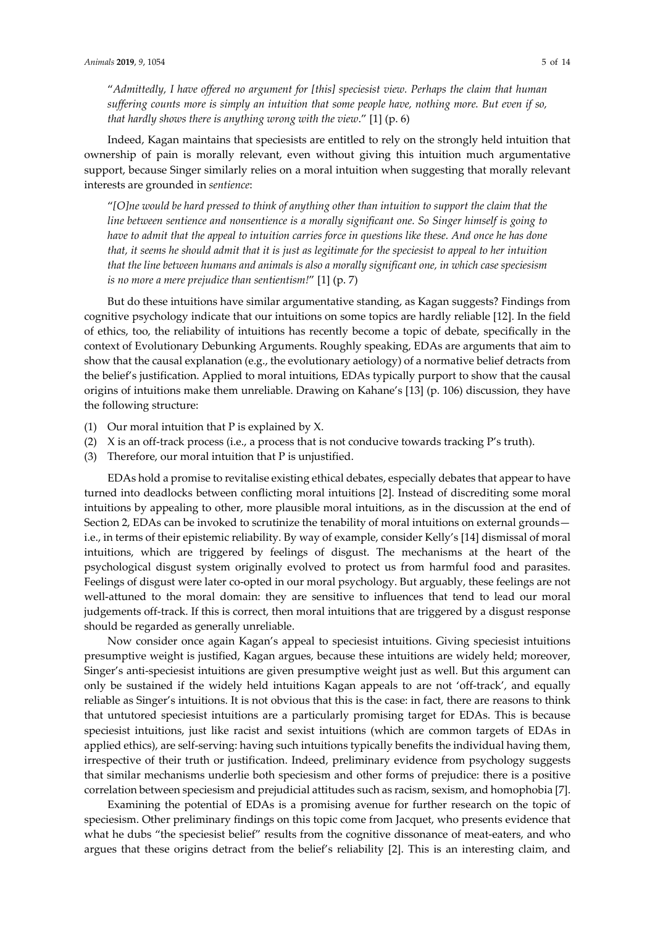"*Admittedly, I have offered no argument for [this] speciesist view. Perhaps the claim that human suffering counts more is simply an intuition that some people have, nothing more. But even if so, that hardly shows there is anything wrong with the view*." [1] (p. 6)

Indeed, Kagan maintains that speciesists are entitled to rely on the strongly held intuition that ownership of pain is morally relevant, even without giving this intuition much argumentative support, because Singer similarly relies on a moral intuition when suggesting that morally relevant interests are grounded in *sentience*:

"*[O]ne would be hard pressed to think of anything other than intuition to support the claim that the line between sentience and nonsentience is a morally significant one. So Singer himself is going to have to admit that the appeal to intuition carries force in questions like these. And once he has done that, it seems he should admit that it is just as legitimate for the speciesist to appeal to her intuition that the line between humans and animals is also a morally significant one, in which case speciesism is no more a mere prejudice than sentientism!*" [1] (p. 7)

But do these intuitions have similar argumentative standing, as Kagan suggests? Findings from cognitive psychology indicate that our intuitions on some topics are hardly reliable [12]. In the field of ethics, too, the reliability of intuitions has recently become a topic of debate, specifically in the context of Evolutionary Debunking Arguments. Roughly speaking, EDAs are arguments that aim to show that the causal explanation (e.g., the evolutionary aetiology) of a normative belief detracts from the belief's justification. Applied to moral intuitions, EDAs typically purport to show that the causal origins of intuitions make them unreliable. Drawing on Kahane's [13] (p. 106) discussion, they have the following structure:

- (1) Our moral intuition that P is explained by X.
- (2) X is an off-track process (i.e., a process that is not conducive towards tracking P's truth).
- (3) Therefore, our moral intuition that P is unjustified.

EDAs hold a promise to revitalise existing ethical debates, especially debates that appear to have turned into deadlocks between conflicting moral intuitions [2]. Instead of discrediting some moral intuitions by appealing to other, more plausible moral intuitions, as in the discussion at the end of Section 2, EDAs can be invoked to scrutinize the tenability of moral intuitions on external grounds i.e., in terms of their epistemic reliability. By way of example, consider Kelly's [14] dismissal of moral intuitions, which are triggered by feelings of disgust. The mechanisms at the heart of the psychological disgust system originally evolved to protect us from harmful food and parasites. Feelings of disgust were later co-opted in our moral psychology. But arguably, these feelings are not well-attuned to the moral domain: they are sensitive to influences that tend to lead our moral judgements off-track. If this is correct, then moral intuitions that are triggered by a disgust response should be regarded as generally unreliable.

Now consider once again Kagan's appeal to speciesist intuitions. Giving speciesist intuitions presumptive weight is justified, Kagan argues, because these intuitions are widely held; moreover, Singer's anti-speciesist intuitions are given presumptive weight just as well. But this argument can only be sustained if the widely held intuitions Kagan appeals to are not 'off-track', and equally reliable as Singer's intuitions. It is not obvious that this is the case: in fact, there are reasons to think that untutored speciesist intuitions are a particularly promising target for EDAs. This is because speciesist intuitions, just like racist and sexist intuitions (which are common targets of EDAs in applied ethics), are self-serving: having such intuitions typically benefits the individual having them, irrespective of their truth or justification. Indeed, preliminary evidence from psychology suggests that similar mechanisms underlie both speciesism and other forms of prejudice: there is a positive correlation between speciesism and prejudicial attitudes such as racism, sexism, and homophobia [7].

Examining the potential of EDAs is a promising avenue for further research on the topic of speciesism. Other preliminary findings on this topic come from Jacquet, who presents evidence that what he dubs "the speciesist belief" results from the cognitive dissonance of meat-eaters, and who argues that these origins detract from the belief's reliability [2]. This is an interesting claim, and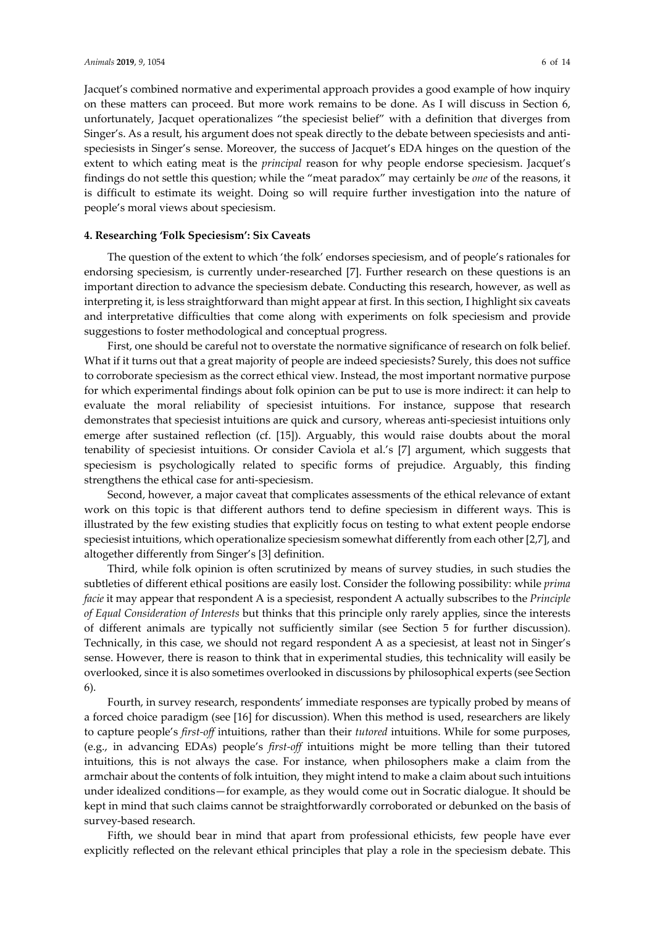Jacquet's combined normative and experimental approach provides a good example of how inquiry on these matters can proceed. But more work remains to be done. As I will discuss in Section 6, unfortunately, Jacquet operationalizes "the speciesist belief" with a definition that diverges from Singer's. As a result, his argument does not speak directly to the debate between speciesists and antispeciesists in Singer's sense. Moreover, the success of Jacquet's EDA hinges on the question of the extent to which eating meat is the *principal* reason for why people endorse speciesism. Jacquet's findings do not settle this question; while the "meat paradox" may certainly be *one* of the reasons, it is difficult to estimate its weight. Doing so will require further investigation into the nature of people's moral views about speciesism.

# **4. Researching 'Folk Speciesism': Six Caveats**

The question of the extent to which 'the folk' endorses speciesism, and of people's rationales for endorsing speciesism, is currently under-researched [7]. Further research on these questions is an important direction to advance the speciesism debate. Conducting this research, however, as well as interpreting it, is less straightforward than might appear at first. In this section, I highlight six caveats and interpretative difficulties that come along with experiments on folk speciesism and provide suggestions to foster methodological and conceptual progress.

First, one should be careful not to overstate the normative significance of research on folk belief. What if it turns out that a great majority of people are indeed speciesists? Surely, this does not suffice to corroborate speciesism as the correct ethical view. Instead, the most important normative purpose for which experimental findings about folk opinion can be put to use is more indirect: it can help to evaluate the moral reliability of speciesist intuitions. For instance, suppose that research demonstrates that speciesist intuitions are quick and cursory, whereas anti-speciesist intuitions only emerge after sustained reflection (cf. [15]). Arguably, this would raise doubts about the moral tenability of speciesist intuitions. Or consider Caviola et al.'s [7] argument, which suggests that speciesism is psychologically related to specific forms of prejudice. Arguably, this finding strengthens the ethical case for anti-speciesism.

Second, however, a major caveat that complicates assessments of the ethical relevance of extant work on this topic is that different authors tend to define speciesism in different ways. This is illustrated by the few existing studies that explicitly focus on testing to what extent people endorse speciesist intuitions, which operationalize speciesism somewhat differently from each other [2,7], and altogether differently from Singer's [3] definition.

Third, while folk opinion is often scrutinized by means of survey studies, in such studies the subtleties of different ethical positions are easily lost. Consider the following possibility: while *prima facie* it may appear that respondent A is a speciesist, respondent A actually subscribes to the *Principle of Equal Consideration of Interests* but thinks that this principle only rarely applies, since the interests of different animals are typically not sufficiently similar (see Section 5 for further discussion). Technically, in this case, we should not regard respondent A as a speciesist, at least not in Singer's sense. However, there is reason to think that in experimental studies, this technicality will easily be overlooked, since it is also sometimes overlooked in discussions by philosophical experts (see Section 6).

Fourth, in survey research, respondents' immediate responses are typically probed by means of a forced choice paradigm (see [16] for discussion). When this method is used, researchers are likely to capture people's *first-off* intuitions, rather than their *tutored* intuitions. While for some purposes, (e.g., in advancing EDAs) people's *first-off* intuitions might be more telling than their tutored intuitions, this is not always the case. For instance, when philosophers make a claim from the armchair about the contents of folk intuition, they might intend to make a claim about such intuitions under idealized conditions—for example, as they would come out in Socratic dialogue. It should be kept in mind that such claims cannot be straightforwardly corroborated or debunked on the basis of survey-based research.

Fifth, we should bear in mind that apart from professional ethicists, few people have ever explicitly reflected on the relevant ethical principles that play a role in the speciesism debate. This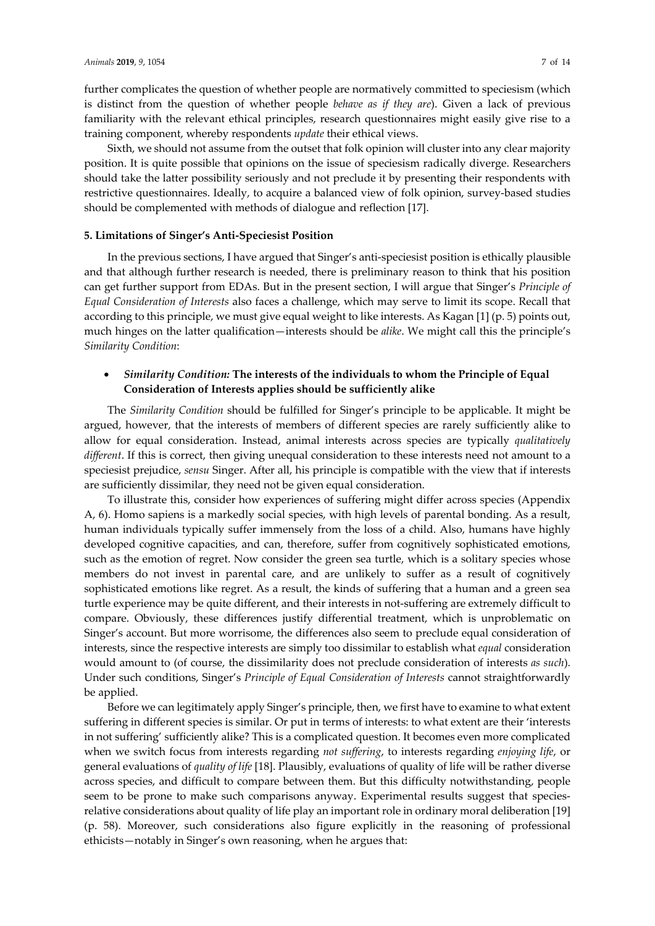further complicates the question of whether people are normatively committed to speciesism (which is distinct from the question of whether people *behave as if they are*). Given a lack of previous familiarity with the relevant ethical principles, research questionnaires might easily give rise to a training component, whereby respondents *update* their ethical views.

Sixth, we should not assume from the outset that folk opinion will cluster into any clear majority position. It is quite possible that opinions on the issue of speciesism radically diverge. Researchers should take the latter possibility seriously and not preclude it by presenting their respondents with restrictive questionnaires. Ideally, to acquire a balanced view of folk opinion, survey-based studies should be complemented with methods of dialogue and reflection [17].

# **5. Limitations of Singer's Anti-Speciesist Position**

In the previous sections, I have argued that Singer's anti-speciesist position is ethically plausible and that although further research is needed, there is preliminary reason to think that his position can get further support from EDAs. But in the present section, I will argue that Singer's *Principle of Equal Consideration of Interests* also faces a challenge, which may serve to limit its scope. Recall that according to this principle, we must give equal weight to like interests. As Kagan [1] (p. 5) points out, much hinges on the latter qualification—interests should be *alike*. We might call this the principle's *Similarity Condition*:

# • *Similarity Condition:* **The interests of the individuals to whom the Principle of Equal Consideration of Interests applies should be sufficiently alike**

The *Similarity Condition* should be fulfilled for Singer's principle to be applicable. It might be argued, however, that the interests of members of different species are rarely sufficiently alike to allow for equal consideration. Instead, animal interests across species are typically *qualitatively different*. If this is correct, then giving unequal consideration to these interests need not amount to a speciesist prejudice, *sensu* Singer. After all, his principle is compatible with the view that if interests are sufficiently dissimilar, they need not be given equal consideration.

To illustrate this, consider how experiences of suffering might differ across species (Appendix A, 6). Homo sapiens is a markedly social species, with high levels of parental bonding. As a result, human individuals typically suffer immensely from the loss of a child. Also, humans have highly developed cognitive capacities, and can, therefore, suffer from cognitively sophisticated emotions, such as the emotion of regret. Now consider the green sea turtle, which is a solitary species whose members do not invest in parental care, and are unlikely to suffer as a result of cognitively sophisticated emotions like regret. As a result, the kinds of suffering that a human and a green sea turtle experience may be quite different, and their interests in not-suffering are extremely difficult to compare. Obviously, these differences justify differential treatment, which is unproblematic on Singer's account. But more worrisome, the differences also seem to preclude equal consideration of interests, since the respective interests are simply too dissimilar to establish what *equal* consideration would amount to (of course, the dissimilarity does not preclude consideration of interests *as such*). Under such conditions, Singer's *Principle of Equal Consideration of Interests* cannot straightforwardly be applied.

Before we can legitimately apply Singer's principle, then, we first have to examine to what extent suffering in different species is similar. Or put in terms of interests: to what extent are their 'interests in not suffering' sufficiently alike? This is a complicated question. It becomes even more complicated when we switch focus from interests regarding *not suffering*, to interests regarding *enjoying life*, or general evaluations of *quality of life* [18]. Plausibly, evaluations of quality of life will be rather diverse across species, and difficult to compare between them. But this difficulty notwithstanding, people seem to be prone to make such comparisons anyway. Experimental results suggest that speciesrelative considerations about quality of life play an important role in ordinary moral deliberation [19] (p. 58). Moreover, such considerations also figure explicitly in the reasoning of professional ethicists—notably in Singer's own reasoning, when he argues that: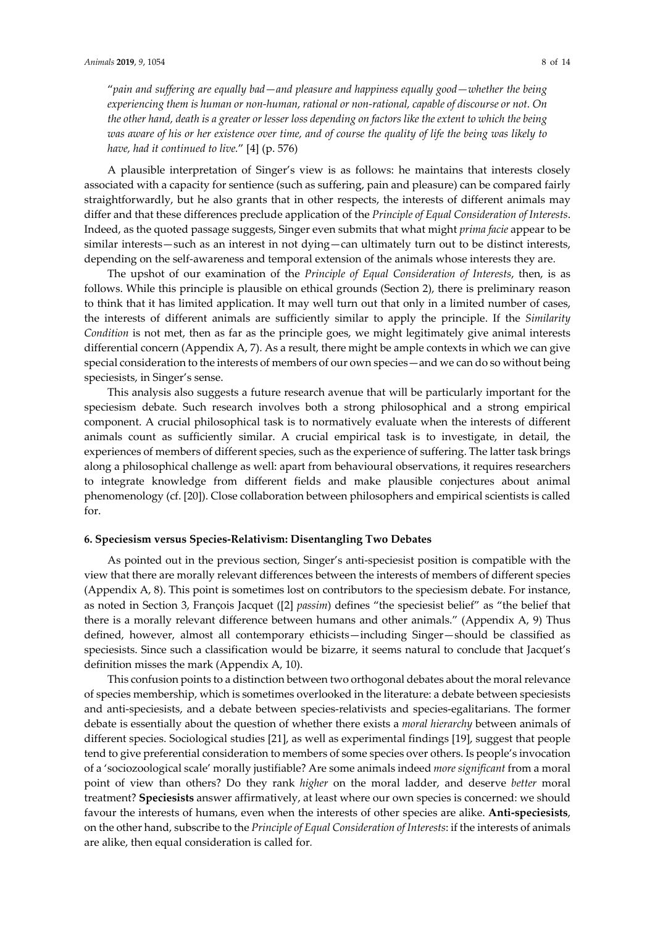"*pain and suffering are equally bad—and pleasure and happiness equally good—whether the being experiencing them is human or non-human, rational or non-rational, capable of discourse or not. On the other hand, death is a greater or lesser loss depending on factors like the extent to which the being was aware of his or her existence over time, and of course the quality of life the being was likely to have, had it continued to live.*" [4] (p. 576)

A plausible interpretation of Singer's view is as follows: he maintains that interests closely associated with a capacity for sentience (such as suffering, pain and pleasure) can be compared fairly straightforwardly, but he also grants that in other respects, the interests of different animals may differ and that these differences preclude application of the *Principle of Equal Consideration of Interests*. Indeed, as the quoted passage suggests, Singer even submits that what might *prima facie* appear to be similar interests—such as an interest in not dying—can ultimately turn out to be distinct interests, depending on the self-awareness and temporal extension of the animals whose interests they are.

The upshot of our examination of the *Principle of Equal Consideration of Interests*, then, is as follows. While this principle is plausible on ethical grounds (Section 2), there is preliminary reason to think that it has limited application. It may well turn out that only in a limited number of cases, the interests of different animals are sufficiently similar to apply the principle. If the *Similarity Condition* is not met, then as far as the principle goes, we might legitimately give animal interests differential concern (Appendix A, 7). As a result, there might be ample contexts in which we can give special consideration to the interests of members of our own species—and we can do so without being speciesists, in Singer's sense.

This analysis also suggests a future research avenue that will be particularly important for the speciesism debate. Such research involves both a strong philosophical and a strong empirical component. A crucial philosophical task is to normatively evaluate when the interests of different animals count as sufficiently similar. A crucial empirical task is to investigate, in detail, the experiences of members of different species, such as the experience of suffering. The latter task brings along a philosophical challenge as well: apart from behavioural observations, it requires researchers to integrate knowledge from different fields and make plausible conjectures about animal phenomenology (cf. [20]). Close collaboration between philosophers and empirical scientists is called for.

## **6. Speciesism versus Species-Relativism: Disentangling Two Debates**

As pointed out in the previous section, Singer's anti-speciesist position is compatible with the view that there are morally relevant differences between the interests of members of different species (Appendix A, 8). This point is sometimes lost on contributors to the speciesism debate. For instance, as noted in Section 3, François Jacquet ([2] *passim*) defines "the speciesist belief" as "the belief that there is a morally relevant difference between humans and other animals." (Appendix A, 9) Thus defined, however, almost all contemporary ethicists—including Singer—should be classified as speciesists. Since such a classification would be bizarre, it seems natural to conclude that Jacquet's definition misses the mark (Appendix A, 10).

This confusion points to a distinction between two orthogonal debates about the moral relevance of species membership, which is sometimes overlooked in the literature: a debate between speciesists and anti-speciesists, and a debate between species-relativists and species-egalitarians. The former debate is essentially about the question of whether there exists a *moral hierarchy* between animals of different species. Sociological studies [21], as well as experimental findings [19], suggest that people tend to give preferential consideration to members of some species over others. Is people's invocation of a 'sociozoological scale' morally justifiable? Are some animals indeed *more significant* from a moral point of view than others? Do they rank *higher* on the moral ladder, and deserve *better* moral treatment? **Speciesists** answer affirmatively, at least where our own species is concerned: we should favour the interests of humans, even when the interests of other species are alike. **Anti-speciesists**, on the other hand, subscribe to the *Principle of Equal Consideration of Interests*: if the interests of animals are alike, then equal consideration is called for*.*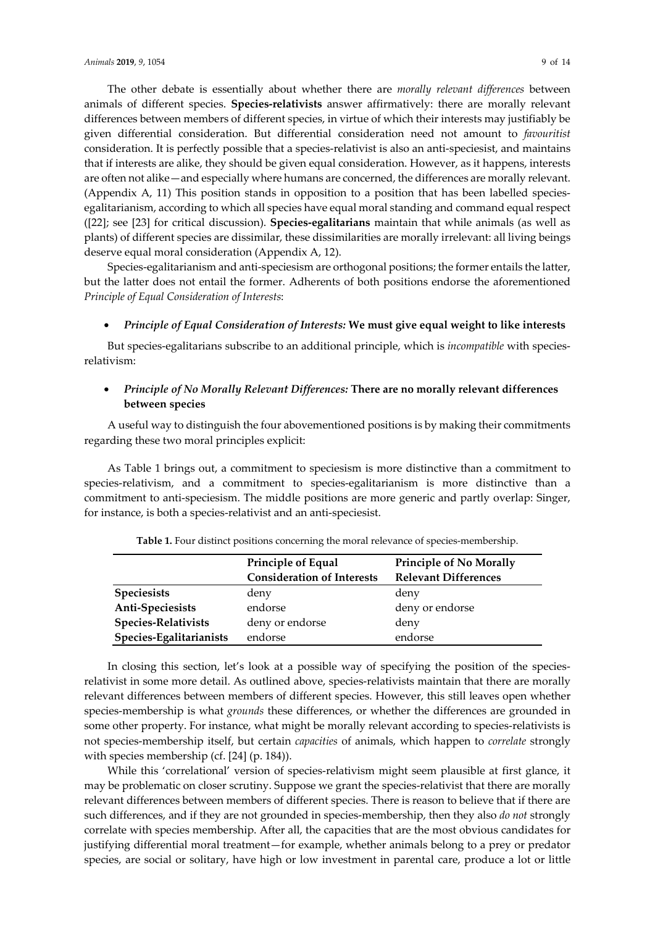The other debate is essentially about whether there are *morally relevant differences* between animals of different species. **Species-relativists** answer affirmatively: there are morally relevant differences between members of different species, in virtue of which their interests may justifiably be given differential consideration. But differential consideration need not amount to *favouritist* consideration. It is perfectly possible that a species-relativist is also an anti-speciesist, and maintains that if interests are alike, they should be given equal consideration. However, as it happens, interests are often not alike—and especially where humans are concerned, the differences are morally relevant. (Appendix A, 11) This position stands in opposition to a position that has been labelled speciesegalitarianism, according to which all species have equal moral standing and command equal respect ([22]; see [23] for critical discussion). **Species-egalitarians** maintain that while animals (as well as plants) of different species are dissimilar, these dissimilarities are morally irrelevant: all living beings deserve equal moral consideration (Appendix A, 12).

Species-egalitarianism and anti-speciesism are orthogonal positions; the former entails the latter, but the latter does not entail the former. Adherents of both positions endorse the aforementioned *Principle of Equal Consideration of Interests*:

## • *Principle of Equal Consideration of Interests:* **We must give equal weight to like interests**

But species-egalitarians subscribe to an additional principle, which is *incompatible* with speciesrelativism:

# • *Principle of No Morally Relevant Differences:* **There are no morally relevant differences between species**

A useful way to distinguish the four abovementioned positions is by making their commitments regarding these two moral principles explicit:

As Table 1 brings out, a commitment to speciesism is more distinctive than a commitment to species-relativism, and a commitment to species-egalitarianism is more distinctive than a commitment to anti-speciesism. The middle positions are more generic and partly overlap: Singer, for instance, is both a species-relativist and an anti-speciesist.

|                         | Principle of Equal                | <b>Principle of No Morally</b> |
|-------------------------|-----------------------------------|--------------------------------|
|                         | <b>Consideration of Interests</b> | <b>Relevant Differences</b>    |
| Speciesists             | deny                              | deny                           |
| Anti-Speciesists        | endorse                           | deny or endorse                |
| Species-Relativists     | deny or endorse                   | deny                           |
| Species-Egalitarianists | endorse                           | endorse                        |

**Table 1.** Four distinct positions concerning the moral relevance of species-membership.

In closing this section, let's look at a possible way of specifying the position of the speciesrelativist in some more detail. As outlined above, species-relativists maintain that there are morally relevant differences between members of different species. However, this still leaves open whether species-membership is what *grounds* these differences, or whether the differences are grounded in some other property. For instance, what might be morally relevant according to species-relativists is not species-membership itself, but certain *capacities* of animals, which happen to *correlate* strongly with species membership (cf. [24] (p. 184)).

While this 'correlational' version of species-relativism might seem plausible at first glance, it may be problematic on closer scrutiny. Suppose we grant the species-relativist that there are morally relevant differences between members of different species. There is reason to believe that if there are such differences, and if they are not grounded in species-membership, then they also *do not* strongly correlate with species membership. After all, the capacities that are the most obvious candidates for justifying differential moral treatment—for example, whether animals belong to a prey or predator species, are social or solitary, have high or low investment in parental care, produce a lot or little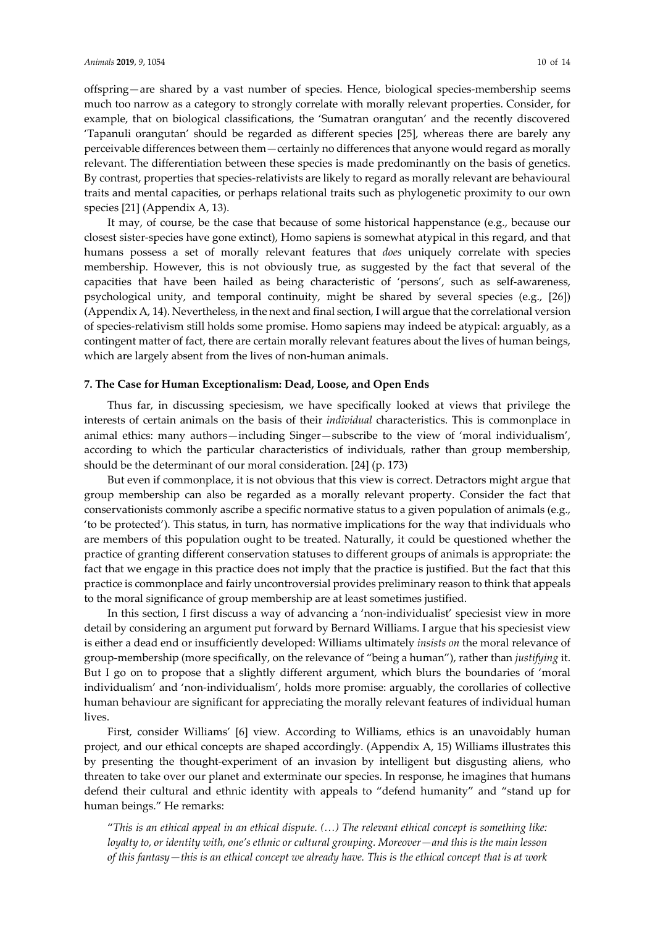offspring—are shared by a vast number of species. Hence, biological species-membership seems much too narrow as a category to strongly correlate with morally relevant properties. Consider, for example, that on biological classifications, the 'Sumatran orangutan' and the recently discovered 'Tapanuli orangutan' should be regarded as different species [25], whereas there are barely any perceivable differences between them—certainly no differences that anyone would regard as morally relevant. The differentiation between these species is made predominantly on the basis of genetics. By contrast, properties that species-relativists are likely to regard as morally relevant are behavioural traits and mental capacities, or perhaps relational traits such as phylogenetic proximity to our own species [21] (Appendix A, 13).

It may, of course, be the case that because of some historical happenstance (e.g., because our closest sister-species have gone extinct), Homo sapiens is somewhat atypical in this regard, and that humans possess a set of morally relevant features that *does* uniquely correlate with species membership. However, this is not obviously true, as suggested by the fact that several of the capacities that have been hailed as being characteristic of 'persons', such as self-awareness, psychological unity, and temporal continuity, might be shared by several species (e.g., [26]) (Appendix A, 14). Nevertheless, in the next and final section, I will argue that the correlational version of species-relativism still holds some promise. Homo sapiens may indeed be atypical: arguably, as a contingent matter of fact, there are certain morally relevant features about the lives of human beings, which are largely absent from the lives of non-human animals.

#### **7. The Case for Human Exceptionalism: Dead, Loose, and Open Ends**

Thus far, in discussing speciesism, we have specifically looked at views that privilege the interests of certain animals on the basis of their *individual* characteristics. This is commonplace in animal ethics: many authors—including Singer—subscribe to the view of 'moral individualism', according to which the particular characteristics of individuals, rather than group membership, should be the determinant of our moral consideration. [24] (p. 173)

But even if commonplace, it is not obvious that this view is correct. Detractors might argue that group membership can also be regarded as a morally relevant property. Consider the fact that conservationists commonly ascribe a specific normative status to a given population of animals (e.g., 'to be protected'). This status, in turn, has normative implications for the way that individuals who are members of this population ought to be treated. Naturally, it could be questioned whether the practice of granting different conservation statuses to different groups of animals is appropriate: the fact that we engage in this practice does not imply that the practice is justified. But the fact that this practice is commonplace and fairly uncontroversial provides preliminary reason to think that appeals to the moral significance of group membership are at least sometimes justified.

In this section, I first discuss a way of advancing a 'non-individualist' speciesist view in more detail by considering an argument put forward by Bernard Williams. I argue that his speciesist view is either a dead end or insufficiently developed: Williams ultimately *insists on* the moral relevance of group-membership (more specifically, on the relevance of "being a human"), rather than *justifying* it. But I go on to propose that a slightly different argument, which blurs the boundaries of 'moral individualism' and 'non-individualism', holds more promise: arguably, the corollaries of collective human behaviour are significant for appreciating the morally relevant features of individual human lives.

First, consider Williams' [6] view. According to Williams, ethics is an unavoidably human project, and our ethical concepts are shaped accordingly. (Appendix A, 15) Williams illustrates this by presenting the thought-experiment of an invasion by intelligent but disgusting aliens, who threaten to take over our planet and exterminate our species. In response, he imagines that humans defend their cultural and ethnic identity with appeals to "defend humanity" and "stand up for human beings." He remarks:

"*This is an ethical appeal in an ethical dispute. (…) The relevant ethical concept is something like: loyalty to, or identity with, one's ethnic or cultural grouping. Moreover—and this is the main lesson of this fantasy—this is an ethical concept we already have. This is the ethical concept that is at work*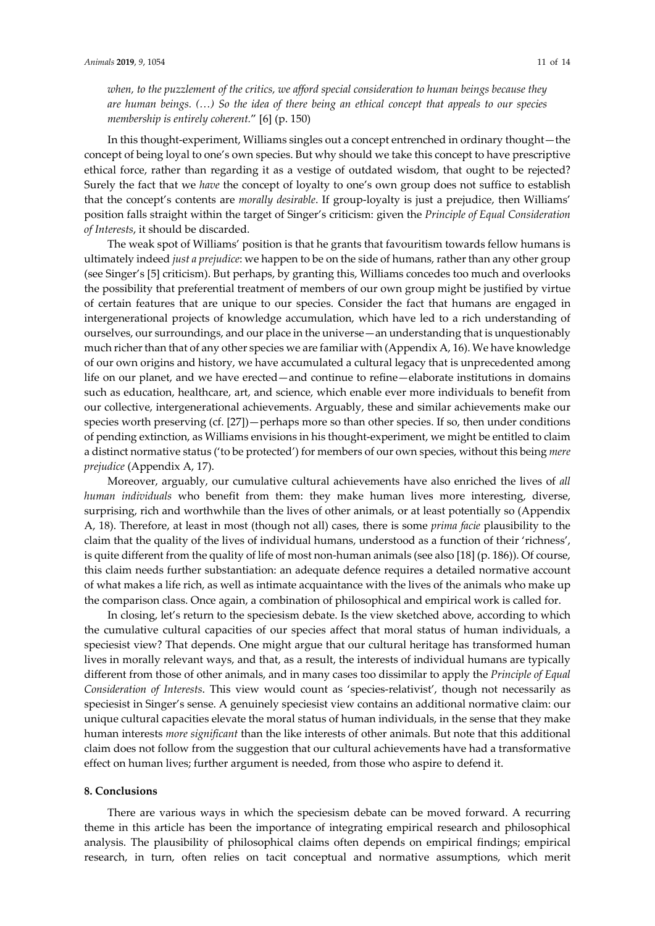*when, to the puzzlement of the critics, we afford special consideration to human beings because they are human beings. (…) So the idea of there being an ethical concept that appeals to our species membership is entirely coherent.*" [6] (p. 150)

In this thought-experiment, Williams singles out a concept entrenched in ordinary thought—the concept of being loyal to one's own species. But why should we take this concept to have prescriptive ethical force, rather than regarding it as a vestige of outdated wisdom, that ought to be rejected? Surely the fact that we *have* the concept of loyalty to one's own group does not suffice to establish that the concept's contents are *morally desirable*. If group-loyalty is just a prejudice, then Williams' position falls straight within the target of Singer's criticism: given the *Principle of Equal Consideration of Interests*, it should be discarded.

The weak spot of Williams' position is that he grants that favouritism towards fellow humans is ultimately indeed *just a prejudice*: we happen to be on the side of humans, rather than any other group (see Singer's [5] criticism). But perhaps, by granting this, Williams concedes too much and overlooks the possibility that preferential treatment of members of our own group might be justified by virtue of certain features that are unique to our species. Consider the fact that humans are engaged in intergenerational projects of knowledge accumulation, which have led to a rich understanding of ourselves, our surroundings, and our place in the universe—an understanding that is unquestionably much richer than that of any other species we are familiar with (Appendix A, 16). We have knowledge of our own origins and history, we have accumulated a cultural legacy that is unprecedented among life on our planet, and we have erected—and continue to refine—elaborate institutions in domains such as education, healthcare, art, and science, which enable ever more individuals to benefit from our collective, intergenerational achievements. Arguably, these and similar achievements make our species worth preserving (cf. [27])—perhaps more so than other species. If so, then under conditions of pending extinction, as Williams envisions in his thought-experiment, we might be entitled to claim a distinct normative status ('to be protected') for members of our own species, without this being *mere prejudice* (Appendix A, 17).

Moreover, arguably, our cumulative cultural achievements have also enriched the lives of *all human individuals* who benefit from them: they make human lives more interesting, diverse, surprising, rich and worthwhile than the lives of other animals, or at least potentially so (Appendix A, 18). Therefore, at least in most (though not all) cases, there is some *prima facie* plausibility to the claim that the quality of the lives of individual humans, understood as a function of their 'richness', is quite different from the quality of life of most non-human animals (see also [18] (p. 186)). Of course, this claim needs further substantiation: an adequate defence requires a detailed normative account of what makes a life rich, as well as intimate acquaintance with the lives of the animals who make up the comparison class. Once again, a combination of philosophical and empirical work is called for.

In closing, let's return to the speciesism debate. Is the view sketched above, according to which the cumulative cultural capacities of our species affect that moral status of human individuals, a speciesist view? That depends. One might argue that our cultural heritage has transformed human lives in morally relevant ways, and that, as a result, the interests of individual humans are typically different from those of other animals, and in many cases too dissimilar to apply the *Principle of Equal Consideration of Interests*. This view would count as 'species-relativist', though not necessarily as speciesist in Singer's sense. A genuinely speciesist view contains an additional normative claim: our unique cultural capacities elevate the moral status of human individuals, in the sense that they make human interests *more significant* than the like interests of other animals. But note that this additional claim does not follow from the suggestion that our cultural achievements have had a transformative effect on human lives; further argument is needed, from those who aspire to defend it.

## **8. Conclusions**

There are various ways in which the speciesism debate can be moved forward. A recurring theme in this article has been the importance of integrating empirical research and philosophical analysis. The plausibility of philosophical claims often depends on empirical findings; empirical research, in turn, often relies on tacit conceptual and normative assumptions, which merit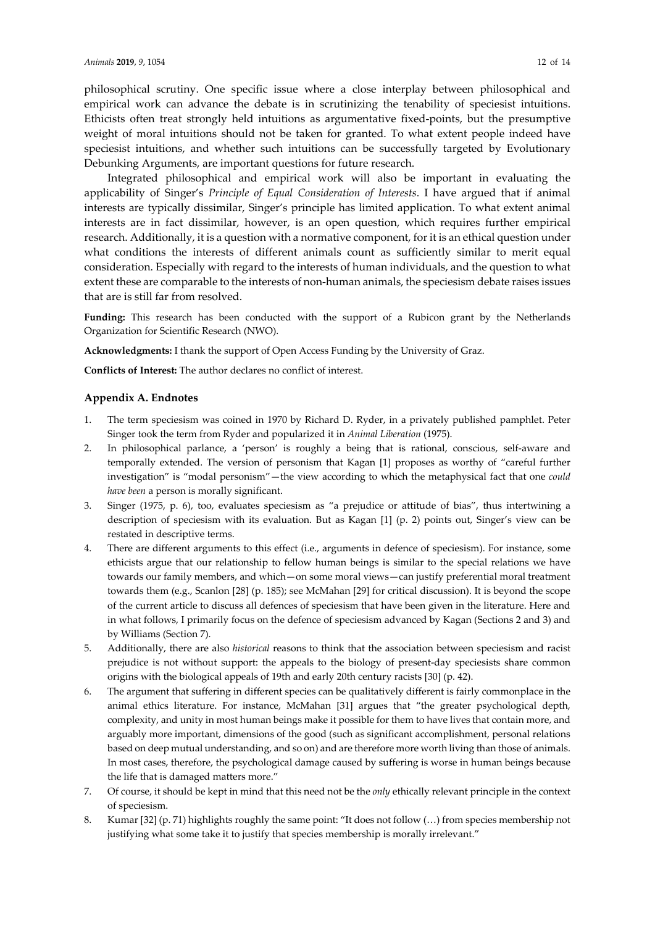philosophical scrutiny. One specific issue where a close interplay between philosophical and empirical work can advance the debate is in scrutinizing the tenability of speciesist intuitions. Ethicists often treat strongly held intuitions as argumentative fixed-points, but the presumptive weight of moral intuitions should not be taken for granted. To what extent people indeed have speciesist intuitions, and whether such intuitions can be successfully targeted by Evolutionary Debunking Arguments, are important questions for future research.

Integrated philosophical and empirical work will also be important in evaluating the applicability of Singer's *Principle of Equal Consideration of Interests*. I have argued that if animal interests are typically dissimilar, Singer's principle has limited application. To what extent animal interests are in fact dissimilar, however, is an open question, which requires further empirical research. Additionally, it is a question with a normative component, for it is an ethical question under what conditions the interests of different animals count as sufficiently similar to merit equal consideration. Especially with regard to the interests of human individuals, and the question to what extent these are comparable to the interests of non-human animals, the speciesism debate raises issues that are is still far from resolved.

Funding: This research has been conducted with the support of a Rubicon grant by the Netherlands Organization for Scientific Research (NWO).

**Acknowledgments:** I thank the support of Open Access Funding by the University of Graz.

**Conflicts of Interest:** The author declares no conflict of interest.

## **Appendix A. Endnotes**

- 1. The term speciesism was coined in 1970 by Richard D. Ryder, in a privately published pamphlet. Peter Singer took the term from Ryder and popularized it in *Animal Liberation* (1975).
- 2. In philosophical parlance, a 'person' is roughly a being that is rational, conscious, self-aware and temporally extended. The version of personism that Kagan [1] proposes as worthy of "careful further investigation" is "modal personism"—the view according to which the metaphysical fact that one *could have been* a person is morally significant.
- 3. Singer (1975, p. 6), too, evaluates speciesism as "a prejudice or attitude of bias", thus intertwining a description of speciesism with its evaluation. But as Kagan [1] (p. 2) points out, Singer's view can be restated in descriptive terms.
- 4. There are different arguments to this effect (i.e., arguments in defence of speciesism). For instance, some ethicists argue that our relationship to fellow human beings is similar to the special relations we have towards our family members, and which—on some moral views—can justify preferential moral treatment towards them (e.g., Scanlon [28] (p. 185); see McMahan [29] for critical discussion). It is beyond the scope of the current article to discuss all defences of speciesism that have been given in the literature. Here and in what follows, I primarily focus on the defence of speciesism advanced by Kagan (Sections 2 and 3) and by Williams (Section 7).
- 5. Additionally, there are also *historical* reasons to think that the association between speciesism and racist prejudice is not without support: the appeals to the biology of present-day speciesists share common origins with the biological appeals of 19th and early 20th century racists [30] (p. 42).
- 6. The argument that suffering in different species can be qualitatively different is fairly commonplace in the animal ethics literature. For instance, McMahan [31] argues that "the greater psychological depth, complexity, and unity in most human beings make it possible for them to have lives that contain more, and arguably more important, dimensions of the good (such as significant accomplishment, personal relations based on deep mutual understanding, and so on) and are therefore more worth living than those of animals. In most cases, therefore, the psychological damage caused by suffering is worse in human beings because the life that is damaged matters more."
- 7. Of course, it should be kept in mind that this need not be the *only* ethically relevant principle in the context of speciesism.
- 8. Kumar [32] (p. 71) highlights roughly the same point: "It does not follow (…) from species membership not justifying what some take it to justify that species membership is morally irrelevant."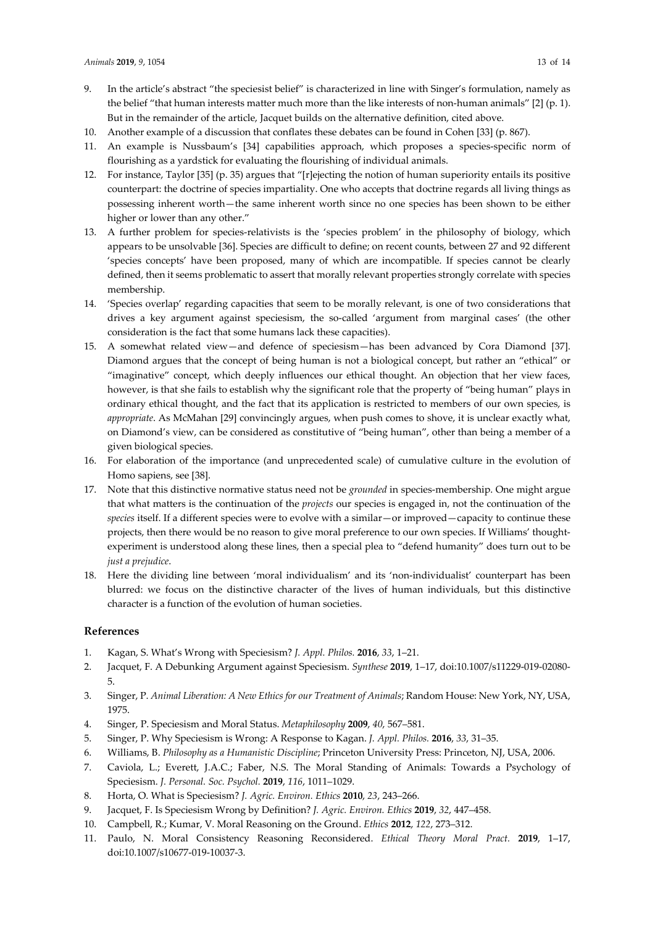- 9. In the article's abstract "the speciesist belief" is characterized in line with Singer's formulation, namely as the belief "that human interests matter much more than the like interests of non-human animals" [2] (p. 1). But in the remainder of the article, Jacquet builds on the alternative definition, cited above.
- 10. Another example of a discussion that conflates these debates can be found in Cohen [33] (p. 867).
- 11. An example is Nussbaum's [34] capabilities approach, which proposes a species-specific norm of flourishing as a yardstick for evaluating the flourishing of individual animals.
- 12. For instance, Taylor [35] (p. 35) argues that "[r]ejecting the notion of human superiority entails its positive counterpart: the doctrine of species impartiality. One who accepts that doctrine regards all living things as possessing inherent worth—the same inherent worth since no one species has been shown to be either higher or lower than any other."
- 13. A further problem for species-relativists is the 'species problem' in the philosophy of biology, which appears to be unsolvable [36]. Species are difficult to define; on recent counts, between 27 and 92 different 'species concepts' have been proposed, many of which are incompatible. If species cannot be clearly defined, then it seems problematic to assert that morally relevant properties strongly correlate with species membership.
- 14. 'Species overlap' regarding capacities that seem to be morally relevant, is one of two considerations that drives a key argument against speciesism, the so-called 'argument from marginal cases' (the other consideration is the fact that some humans lack these capacities).
- 15. A somewhat related view—and defence of speciesism—has been advanced by Cora Diamond [37]. Diamond argues that the concept of being human is not a biological concept, but rather an "ethical" or "imaginative" concept, which deeply influences our ethical thought. An objection that her view faces, however, is that she fails to establish why the significant role that the property of "being human" plays in ordinary ethical thought, and the fact that its application is restricted to members of our own species, is *appropriate*. As McMahan [29] convincingly argues, when push comes to shove, it is unclear exactly what, on Diamond's view, can be considered as constitutive of "being human", other than being a member of a given biological species.
- 16. For elaboration of the importance (and unprecedented scale) of cumulative culture in the evolution of Homo sapiens, see [38].
- 17. Note that this distinctive normative status need not be *grounded* in species-membership. One might argue that what matters is the continuation of the *projects* our species is engaged in, not the continuation of the *species* itself. If a different species were to evolve with a similar—or improved—capacity to continue these projects, then there would be no reason to give moral preference to our own species. If Williams' thoughtexperiment is understood along these lines, then a special plea to "defend humanity" does turn out to be *just a prejudice*.
- 18. Here the dividing line between 'moral individualism' and its 'non-individualist' counterpart has been blurred: we focus on the distinctive character of the lives of human individuals, but this distinctive character is a function of the evolution of human societies.

# **References**

- 1. Kagan, S. What's Wrong with Speciesism? *J. Appl. Philos.* **2016**, *33*, 1–21.
- 2. Jacquet, F. A Debunking Argument against Speciesism. *Synthese* **2019**, 1–17, doi:10.1007/s11229-019-02080- 5.
- 3. Singer, P. *Animal Liberation: A New Ethics for our Treatment of Animals*; Random House: New York, NY, USA, 1975.
- 4. Singer, P. Speciesism and Moral Status. *Metaphilosophy* **2009**, *40*, 567–581.
- 5. Singer, P. Why Speciesism is Wrong: A Response to Kagan. *J. Appl. Philos.* **2016**, *33*, 31–35.
- 6. Williams, B. *Philosophy as a Humanistic Discipline*; Princeton University Press: Princeton, NJ, USA, 2006.
- 7. Caviola, L.; Everett, J.A.C.; Faber, N.S. The Moral Standing of Animals: Towards a Psychology of Speciesism. *J. Personal. Soc. Psychol.* **2019**, *116*, 1011–1029.
- 8. Horta, O. What is Speciesism? *J. Agric. Environ. Ethics* **2010**, *23*, 243–266.
- 9. Jacquet, F. Is Speciesism Wrong by Definition? *J. Agric. Environ. Ethics* **2019**, *32*, 447–458.
- 10. Campbell, R.; Kumar, V. Moral Reasoning on the Ground. *Ethics* **2012**, *122*, 273–312.
- 11. Paulo, N. Moral Consistency Reasoning Reconsidered. *Ethical Theory Moral Pract.* **2019**, 1–17, doi:10.1007/s10677-019-10037-3.